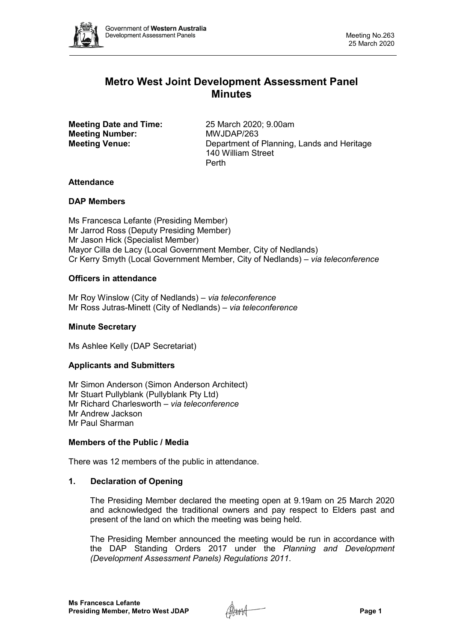

# **Metro West Joint Development Assessment Panel Minutes**

**Meeting Date and Time:** 25 March 2020; 9.00am<br> **Meeting Number:** MWJDAP/263 **Meeting Number:** 

**Meeting Venue:** Department of Planning, Lands and Heritage 140 William Street Perth

# **Attendance**

# **DAP Members**

Ms Francesca Lefante (Presiding Member) Mr Jarrod Ross (Deputy Presiding Member) Mr Jason Hick (Specialist Member) Mayor Cilla de Lacy (Local Government Member, City of Nedlands) Cr Kerry Smyth (Local Government Member, City of Nedlands) – *via teleconference*

# **Officers in attendance**

Mr Roy Winslow (City of Nedlands) – *via teleconference* Mr Ross Jutras-Minett (City of Nedlands) – *via teleconference*

# **Minute Secretary**

Ms Ashlee Kelly (DAP Secretariat)

# **Applicants and Submitters**

Mr Simon Anderson (Simon Anderson Architect) Mr Stuart Pullyblank (Pullyblank Pty Ltd) Mr Richard Charlesworth – *via teleconference* Mr Andrew Jackson Mr Paul Sharman

# **Members of the Public / Media**

There was 12 members of the public in attendance.

# **1. Declaration of Opening**

The Presiding Member declared the meeting open at 9.19am on 25 March 2020 and acknowledged the traditional owners and pay respect to Elders past and present of the land on which the meeting was being held.

The Presiding Member announced the meeting would be run in accordance with the DAP Standing Orders 2017 under the *Planning and Development (Development Assessment Panels) Regulations 2011*.

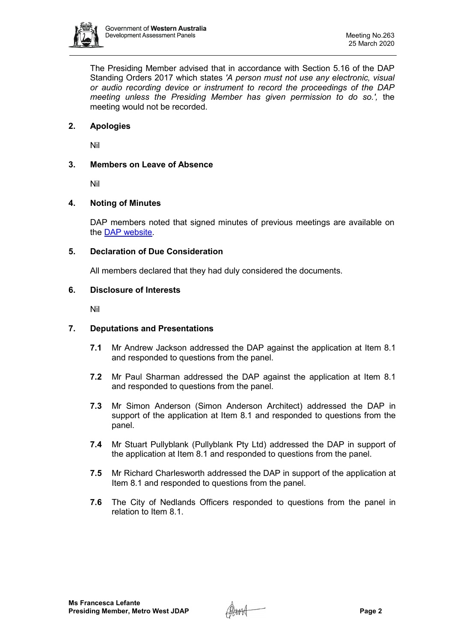

The Presiding Member advised that in accordance with Section 5.16 of the DAP Standing Orders 2017 which states *'A person must not use any electronic, visual or audio recording device or instrument to record the proceedings of the DAP meeting unless the Presiding Member has given permission to do so.',* the meeting would not be recorded.

# **2. Apologies**

Nil

# **3. Members on Leave of Absence**

Nil

# **4. Noting of Minutes**

DAP members noted that signed minutes of previous meetings are available on the [DAP website.](https://www.dplh.wa.gov.au/about/development-assessment-panels/daps-agendas-and-minutes)

# **5. Declaration of Due Consideration**

All members declared that they had duly considered the documents.

#### **6. Disclosure of Interests**

Nil

# **7. Deputations and Presentations**

- **7.1** Mr Andrew Jackson addressed the DAP against the application at Item 8.1 and responded to questions from the panel.
- **7.2** Mr Paul Sharman addressed the DAP against the application at Item 8.1 and responded to questions from the panel.
- **7.3** Mr Simon Anderson (Simon Anderson Architect) addressed the DAP in support of the application at Item 8.1 and responded to questions from the panel.
- **7.4** Mr Stuart Pullyblank (Pullyblank Pty Ltd) addressed the DAP in support of the application at Item 8.1 and responded to questions from the panel.
- **7.5** Mr Richard Charlesworth addressed the DAP in support of the application at Item 8.1 and responded to questions from the panel.
- **7.6** The City of Nedlands Officers responded to questions from the panel in relation to Item 8.1.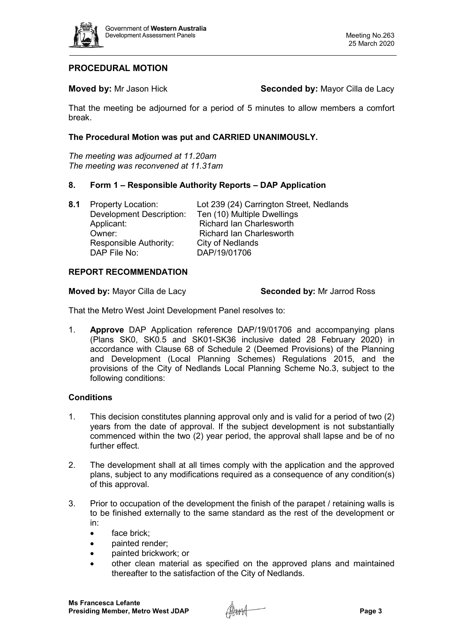

# **PROCEDURAL MOTION**

**Moved by:** Mr Jason Hick **Seconded by:** Mayor Cilla de Lacy

That the meeting be adjourned for a period of 5 minutes to allow members a comfort break.

### **The Procedural Motion was put and CARRIED UNANIMOUSLY.**

*The meeting was adjourned at 11.20am The meeting was reconvened at 11.31am*

# **8. Form 1 – Responsible Authority Reports – DAP Application**

**8.1** Property Location: Lot 239 (24) Carrington Street, Nedlands Development Description: Ten (10) Multiple Dwellings Applicant: Richard Ian Charlesworth Owner: Camerical Richard Ian Charlesworth<br>
Responsible Authority: City of Nedlands Responsible Authority: DAP File No: DAP/19/01706

#### **REPORT RECOMMENDATION**

**Moved by:** Mayor Cilla de Lacy **Seconded by:** Mr Jarrod Ross

That the Metro West Joint Development Panel resolves to:

1. **Approve** DAP Application reference DAP/19/01706 and accompanying plans (Plans SK0, SK0.5 and SK01-SK36 inclusive dated 28 February 2020) in accordance with Clause 68 of Schedule 2 (Deemed Provisions) of the Planning and Development (Local Planning Schemes) Regulations 2015, and the provisions of the City of Nedlands Local Planning Scheme No.3, subject to the following conditions:

# **Conditions**

- 1. This decision constitutes planning approval only and is valid for a period of two (2) years from the date of approval. If the subject development is not substantially commenced within the two (2) year period, the approval shall lapse and be of no further effect.
- 2. The development shall at all times comply with the application and the approved plans, subject to any modifications required as a consequence of any condition(s) of this approval.
- 3. Prior to occupation of the development the finish of the parapet / retaining walls is to be finished externally to the same standard as the rest of the development or in:
	- face brick:
	- **painted render:**
	- painted brickwork; or
	- other clean material as specified on the approved plans and maintained thereafter to the satisfaction of the City of Nedlands.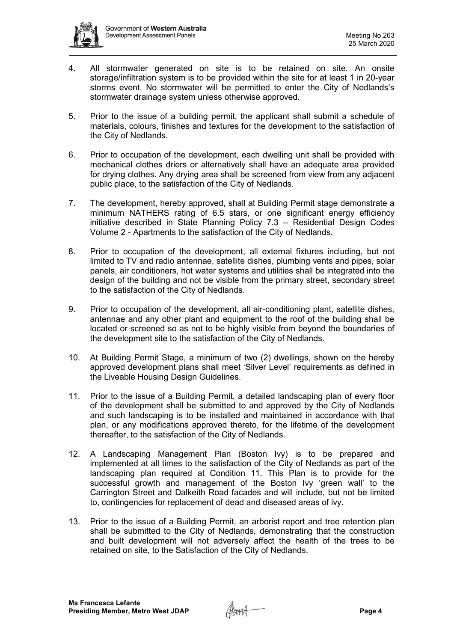

- 4. All stormwater generated on site is to be retained on site. An onsite storage/infiltration system is to be provided within the site for at least 1 in 20-year storms event. No stormwater will be permitted to enter the City of Nedlands's stormwater drainage system unless otherwise approved.
- 5. Prior to the issue of a building permit, the applicant shall submit a schedule of materials, colours, finishes and textures for the development to the satisfaction of the City of Nedlands.
- 6. Prior to occupation of the development, each dwelling unit shall be provided with mechanical clothes driers or alternatively shall have an adequate area provided for drying clothes. Any drying area shall be screened from view from any adjacent public place, to the satisfaction of the City of Nedlands.
- 7. The development, hereby approved, shall at Building Permit stage demonstrate a minimum NATHERS rating of 6.5 stars, or one significant energy efficiency initiative described in State Planning Policy 7.3 – Residential Design Codes Volume 2 - Apartments to the satisfaction of the City of Nedlands.
- 8. Prior to occupation of the development, all external fixtures including, but not limited to TV and radio antennae, satellite dishes, plumbing vents and pipes, solar panels, air conditioners, hot water systems and utilities shall be integrated into the design of the building and not be visible from the primary street, secondary street to the satisfaction of the City of Nedlands.
- 9. Prior to occupation of the development, all air-conditioning plant, satellite dishes, antennae and any other plant and equipment to the roof of the building shall be located or screened so as not to be highly visible from beyond the boundaries of the development site to the satisfaction of the City of Nedlands.
- 10. At Building Permit Stage, a minimum of two (2) dwellings, shown on the hereby approved development plans shall meet 'Silver Level' requirements as defined in the Liveable Housing Design Guidelines.
- 11. Prior to the issue of a Building Permit, a detailed landscaping plan of every floor of the development shall be submitted to and approved by the City of Nedlands and such landscaping is to be installed and maintained in accordance with that plan, or any modifications approved thereto, for the lifetime of the development thereafter, to the satisfaction of the City of Nedlands.
- 12. A Landscaping Management Plan (Boston Ivy) is to be prepared and implemented at all times to the satisfaction of the City of Nedlands as part of the landscaping plan required at Condition 11. This Plan is to provide for the successful growth and management of the Boston Ivy 'green wall' to the Carrington Street and Dalkeith Road facades and will include, but not be limited to, contingencies for replacement of dead and diseased areas of ivy.
- 13. Prior to the issue of a Building Permit, an arborist report and tree retention plan shall be submitted to the City of Nedlands, demonstrating that the construction and built development will not adversely affect the health of the trees to be retained on site, to the Satisfaction of the City of Nedlands.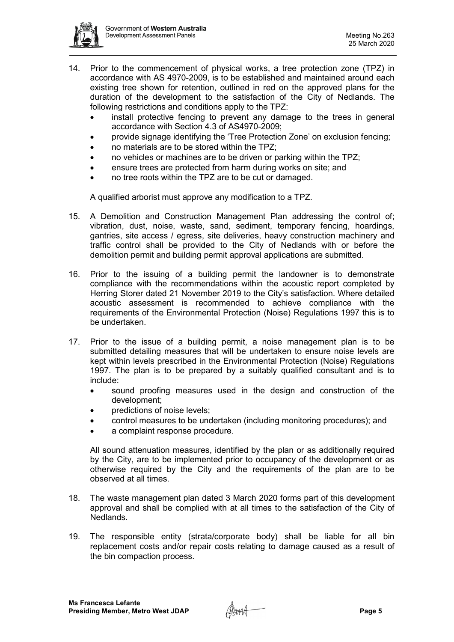

- 14. Prior to the commencement of physical works, a tree protection zone (TPZ) in accordance with AS 4970-2009, is to be established and maintained around each existing tree shown for retention, outlined in red on the approved plans for the duration of the development to the satisfaction of the City of Nedlands. The following restrictions and conditions apply to the TPZ:
	- install protective fencing to prevent any damage to the trees in general accordance with Section 4.3 of AS4970-2009;
	- provide signage identifying the 'Tree Protection Zone' on exclusion fencing;
	- no materials are to be stored within the TPZ;
	- no vehicles or machines are to be driven or parking within the TPZ;
	- ensure trees are protected from harm during works on site; and
	- no tree roots within the TPZ are to be cut or damaged.

A qualified arborist must approve any modification to a TPZ.

- 15. A Demolition and Construction Management Plan addressing the control of; vibration, dust, noise, waste, sand, sediment, temporary fencing, hoardings, gantries, site access / egress, site deliveries, heavy construction machinery and traffic control shall be provided to the City of Nedlands with or before the demolition permit and building permit approval applications are submitted.
- 16. Prior to the issuing of a building permit the landowner is to demonstrate compliance with the recommendations within the acoustic report completed by Herring Storer dated 21 November 2019 to the City's satisfaction. Where detailed acoustic assessment is recommended to achieve compliance with the requirements of the Environmental Protection (Noise) Regulations 1997 this is to be undertaken.
- 17. Prior to the issue of a building permit, a noise management plan is to be submitted detailing measures that will be undertaken to ensure noise levels are kept within levels prescribed in the Environmental Protection (Noise) Regulations 1997. The plan is to be prepared by a suitably qualified consultant and is to include:
	- sound proofing measures used in the design and construction of the development;
	- predictions of noise levels;
	- control measures to be undertaken (including monitoring procedures); and
	- a complaint response procedure.

All sound attenuation measures, identified by the plan or as additionally required by the City, are to be implemented prior to occupancy of the development or as otherwise required by the City and the requirements of the plan are to be observed at all times.

- 18. The waste management plan dated 3 March 2020 forms part of this development approval and shall be complied with at all times to the satisfaction of the City of Nedlands.
- 19. The responsible entity (strata/corporate body) shall be liable for all bin replacement costs and/or repair costs relating to damage caused as a result of the bin compaction process.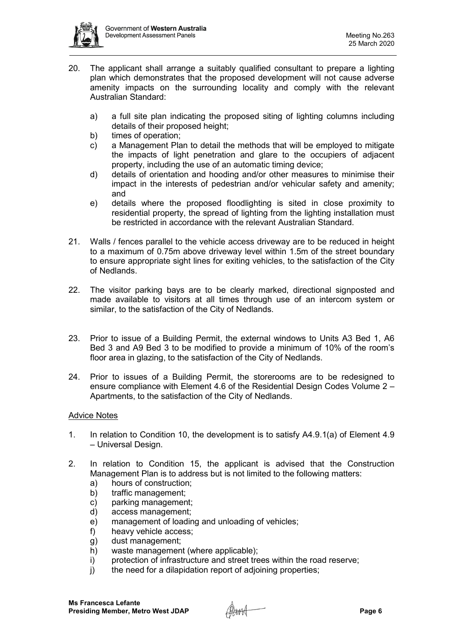

- 20. The applicant shall arrange a suitably qualified consultant to prepare a lighting plan which demonstrates that the proposed development will not cause adverse amenity impacts on the surrounding locality and comply with the relevant Australian Standard:
	- a) a full site plan indicating the proposed siting of lighting columns including details of their proposed height;
	- b) times of operation;
	- c) a Management Plan to detail the methods that will be employed to mitigate the impacts of light penetration and glare to the occupiers of adjacent property, including the use of an automatic timing device;
	- d) details of orientation and hooding and/or other measures to minimise their impact in the interests of pedestrian and/or vehicular safety and amenity; and
	- e) details where the proposed floodlighting is sited in close proximity to residential property, the spread of lighting from the lighting installation must be restricted in accordance with the relevant Australian Standard.
- 21. Walls / fences parallel to the vehicle access driveway are to be reduced in height to a maximum of 0.75m above driveway level within 1.5m of the street boundary to ensure appropriate sight lines for exiting vehicles, to the satisfaction of the City of Nedlands.
- 22. The visitor parking bays are to be clearly marked, directional signposted and made available to visitors at all times through use of an intercom system or similar, to the satisfaction of the City of Nedlands.
- 23. Prior to issue of a Building Permit, the external windows to Units A3 Bed 1, A6 Bed 3 and A9 Bed 3 to be modified to provide a minimum of 10% of the room's floor area in glazing, to the satisfaction of the City of Nedlands.
- 24. Prior to issues of a Building Permit, the storerooms are to be redesigned to ensure compliance with Element 4.6 of the Residential Design Codes Volume 2 – Apartments, to the satisfaction of the City of Nedlands.

# Advice Notes

- 1. In relation to Condition 10, the development is to satisfy A4.9.1(a) of Element 4.9 – Universal Design.
- 2. In relation to Condition 15, the applicant is advised that the Construction Management Plan is to address but is not limited to the following matters:
	- a) hours of construction;
	- b) traffic management;
	- c) parking management;
	- d) access management;
	- e) management of loading and unloading of vehicles;
	- f) heavy vehicle access;
	- g) dust management;
	- h) waste management (where applicable);
	- i) protection of infrastructure and street trees within the road reserve;
	- j) the need for a dilapidation report of adjoining properties;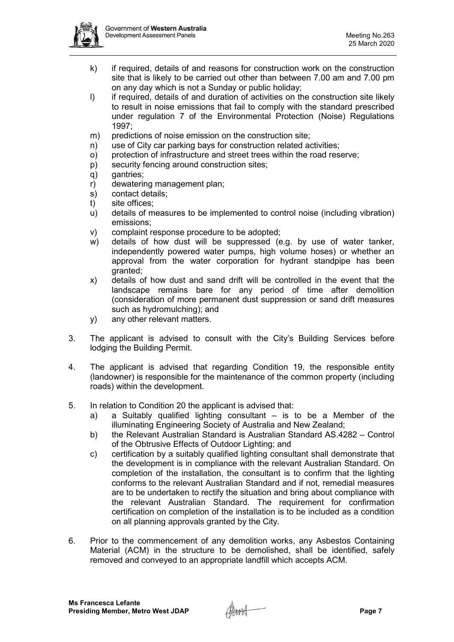

- k) if required, details of and reasons for construction work on the construction site that is likely to be carried out other than between 7.00 am and 7.00 pm on any day which is not a Sunday or public holiday;
- I) if required, details of and duration of activities on the construction site likely to result in noise emissions that fail to comply with the standard prescribed under regulation 7 of the Environmental Protection (Noise) Regulations 1997;
- m) predictions of noise emission on the construction site;
- n) use of City car parking bays for construction related activities;
- o) protection of infrastructure and street trees within the road reserve;
- p) security fencing around construction sites;
- q) gantries;
- r) dewatering management plan;
- s) contact details;
- t) site offices;
- u) details of measures to be implemented to control noise (including vibration) emissions;
- v) complaint response procedure to be adopted;
- w) details of how dust will be suppressed (e.g. by use of water tanker, independently powered water pumps, high volume hoses) or whether an approval from the water corporation for hydrant standpipe has been granted;
- x) details of how dust and sand drift will be controlled in the event that the landscape remains bare for any period of time after demolition (consideration of more permanent dust suppression or sand drift measures such as hydromulching); and
- y) any other relevant matters.
- 3. The applicant is advised to consult with the City's Building Services before lodging the Building Permit.
- 4. The applicant is advised that regarding Condition 19, the responsible entity (landowner) is responsible for the maintenance of the common property (including roads) within the development.
- 5. In relation to Condition 20 the applicant is advised that:
	- a) a Suitably qualified lighting consultant is to be a Member of the illuminating Engineering Society of Australia and New Zealand;
	- b) the Relevant Australian Standard is Australian Standard AS.4282 Control of the Obtrusive Effects of Outdoor Lighting; and
	- c) certification by a suitably qualified lighting consultant shall demonstrate that the development is in compliance with the relevant Australian Standard. On completion of the installation, the consultant is to confirm that the lighting conforms to the relevant Australian Standard and if not, remedial measures are to be undertaken to rectify the situation and bring about compliance with the relevant Australian Standard. The requirement for confirmation certification on completion of the installation is to be included as a condition on all planning approvals granted by the City.
- 6. Prior to the commencement of any demolition works, any Asbestos Containing Material (ACM) in the structure to be demolished, shall be identified, safely removed and conveyed to an appropriate landfill which accepts ACM.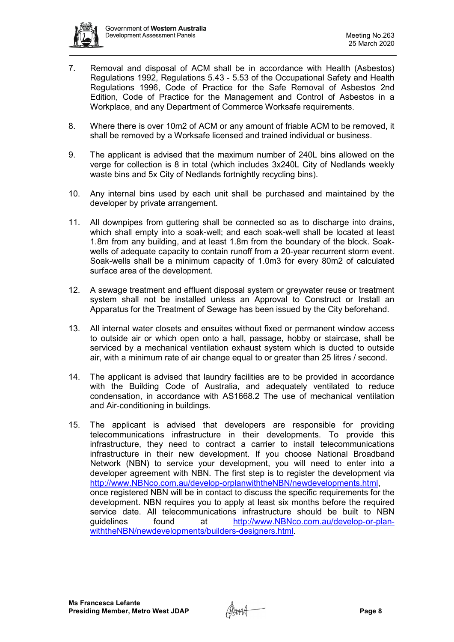

- 7. Removal and disposal of ACM shall be in accordance with Health (Asbestos) Regulations 1992, Regulations 5.43 - 5.53 of the Occupational Safety and Health Regulations 1996, Code of Practice for the Safe Removal of Asbestos 2nd Edition, Code of Practice for the Management and Control of Asbestos in a Workplace, and any Department of Commerce Worksafe requirements.
- 8. Where there is over 10m2 of ACM or any amount of friable ACM to be removed, it shall be removed by a Worksafe licensed and trained individual or business.
- 9. The applicant is advised that the maximum number of 240L bins allowed on the verge for collection is 8 in total (which includes 3x240L City of Nedlands weekly waste bins and 5x City of Nedlands fortnightly recycling bins).
- 10. Any internal bins used by each unit shall be purchased and maintained by the developer by private arrangement.
- 11. All downpipes from guttering shall be connected so as to discharge into drains, which shall empty into a soak-well; and each soak-well shall be located at least 1.8m from any building, and at least 1.8m from the boundary of the block. Soakwells of adequate capacity to contain runoff from a 20-year recurrent storm event. Soak-wells shall be a minimum capacity of 1.0m3 for every 80m2 of calculated surface area of the development.
- 12. A sewage treatment and effluent disposal system or greywater reuse or treatment system shall not be installed unless an Approval to Construct or Install an Apparatus for the Treatment of Sewage has been issued by the City beforehand.
- 13. All internal water closets and ensuites without fixed or permanent window access to outside air or which open onto a hall, passage, hobby or staircase, shall be serviced by a mechanical ventilation exhaust system which is ducted to outside air, with a minimum rate of air change equal to or greater than 25 litres / second.
- 14. The applicant is advised that laundry facilities are to be provided in accordance with the Building Code of Australia, and adequately ventilated to reduce condensation, in accordance with AS1668.2 The use of mechanical ventilation and Air-conditioning in buildings.
- 15. The applicant is advised that developers are responsible for providing telecommunications infrastructure in their developments. To provide this infrastructure, they need to contract a carrier to install telecommunications infrastructure in their new development. If you choose National Broadband Network (NBN) to service your development, you will need to enter into a developer agreement with NBN. The first step is to register the development via [http://www.NBNco.com.au/develop-orplanwiththeNBN/newdevelopments.html,](http://www.nbnco.com.au/develop-orplanwiththeNBN/newdevelopments.html) once registered NBN will be in contact to discuss the specific requirements for the development. NBN requires you to apply at least six months before the required service date. All telecommunications infrastructure should be built to NBN<br>quidelines found at http://www.NBNco.com.au/develop-or-planat [http://www.NBNco.com.au/develop-or-plan](http://www.nbnco.com.au/develop-or-plan-withtheNBN/newdevelopments/builders-designers.html)[withtheNBN/newdevelopments/builders-designers.html.](http://www.nbnco.com.au/develop-or-plan-withtheNBN/newdevelopments/builders-designers.html)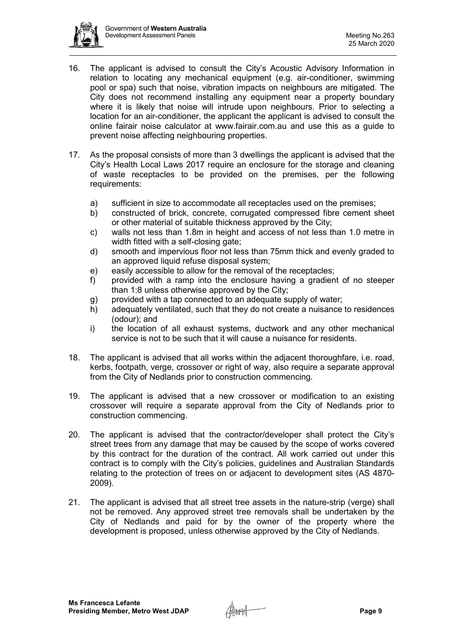

- 16. The applicant is advised to consult the City's Acoustic Advisory Information in relation to locating any mechanical equipment (e.g. air-conditioner, swimming pool or spa) such that noise, vibration impacts on neighbours are mitigated. The City does not recommend installing any equipment near a property boundary where it is likely that noise will intrude upon neighbours. Prior to selecting a location for an air-conditioner, the applicant the applicant is advised to consult the online fairair noise calculator at [www.fairair.com.au](http://www.fairair.com.au/) and use this as a guide to prevent noise affecting neighbouring properties.
- 17. As the proposal consists of more than 3 dwellings the applicant is advised that the City's Health Local Laws 2017 require an enclosure for the storage and cleaning of waste receptacles to be provided on the premises, per the following requirements:
	- a) sufficient in size to accommodate all receptacles used on the premises;
	- b) constructed of brick, concrete, corrugated compressed fibre cement sheet or other material of suitable thickness approved by the City;
	- c) walls not less than 1.8m in height and access of not less than 1.0 metre in width fitted with a self-closing gate;
	- d) smooth and impervious floor not less than 75mm thick and evenly graded to an approved liquid refuse disposal system;
	- e) easily accessible to allow for the removal of the receptacles;
	- f) provided with a ramp into the enclosure having a gradient of no steeper than 1:8 unless otherwise approved by the City;
	- g) provided with a tap connected to an adequate supply of water;
	- h) adequately ventilated, such that they do not create a nuisance to residences (odour); and
	- i) the location of all exhaust systems, ductwork and any other mechanical service is not to be such that it will cause a nuisance for residents.
- 18. The applicant is advised that all works within the adjacent thoroughfare, i.e. road, kerbs, footpath, verge, crossover or right of way, also require a separate approval from the City of Nedlands prior to construction commencing.
- 19. The applicant is advised that a new crossover or modification to an existing crossover will require a separate approval from the City of Nedlands prior to construction commencing.
- 20. The applicant is advised that the contractor/developer shall protect the City's street trees from any damage that may be caused by the scope of works covered by this contract for the duration of the contract. All work carried out under this contract is to comply with the City's policies, guidelines and Australian Standards relating to the protection of trees on or adjacent to development sites (AS 4870- 2009).
- 21. The applicant is advised that all street tree assets in the nature-strip (verge) shall not be removed. Any approved street tree removals shall be undertaken by the City of Nedlands and paid for by the owner of the property where the development is proposed, unless otherwise approved by the City of Nedlands.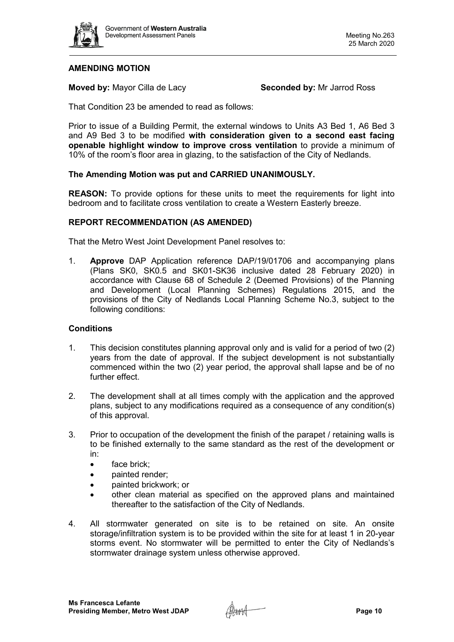

# **AMENDING MOTION**

**Moved by:** Mayor Cilla de Lacy **Seconded by:** Mr Jarrod Ross

That Condition 23 be amended to read as follows:

Prior to issue of a Building Permit, the external windows to Units A3 Bed 1, A6 Bed 3 and A9 Bed 3 to be modified **with consideration given to a second east facing openable highlight window to improve cross ventilation** to provide a minimum of 10% of the room's floor area in glazing, to the satisfaction of the City of Nedlands.

# **The Amending Motion was put and CARRIED UNANIMOUSLY.**

**REASON:** To provide options for these units to meet the requirements for light into bedroom and to facilitate cross ventilation to create a Western Easterly breeze.

#### **REPORT RECOMMENDATION (AS AMENDED)**

That the Metro West Joint Development Panel resolves to:

1. **Approve** DAP Application reference DAP/19/01706 and accompanying plans (Plans SK0, SK0.5 and SK01-SK36 inclusive dated 28 February 2020) in accordance with Clause 68 of Schedule 2 (Deemed Provisions) of the Planning and Development (Local Planning Schemes) Regulations 2015, and the provisions of the City of Nedlands Local Planning Scheme No.3, subject to the following conditions:

#### **Conditions**

- 1. This decision constitutes planning approval only and is valid for a period of two (2) years from the date of approval. If the subject development is not substantially commenced within the two (2) year period, the approval shall lapse and be of no further effect.
- 2. The development shall at all times comply with the application and the approved plans, subject to any modifications required as a consequence of any condition(s) of this approval.
- 3. Prior to occupation of the development the finish of the parapet / retaining walls is to be finished externally to the same standard as the rest of the development or in:
	- face brick:
	- painted render;
	- painted brickwork; or
	- other clean material as specified on the approved plans and maintained thereafter to the satisfaction of the City of Nedlands.
- 4. All stormwater generated on site is to be retained on site. An onsite storage/infiltration system is to be provided within the site for at least 1 in 20-year storms event. No stormwater will be permitted to enter the City of Nedlands's stormwater drainage system unless otherwise approved.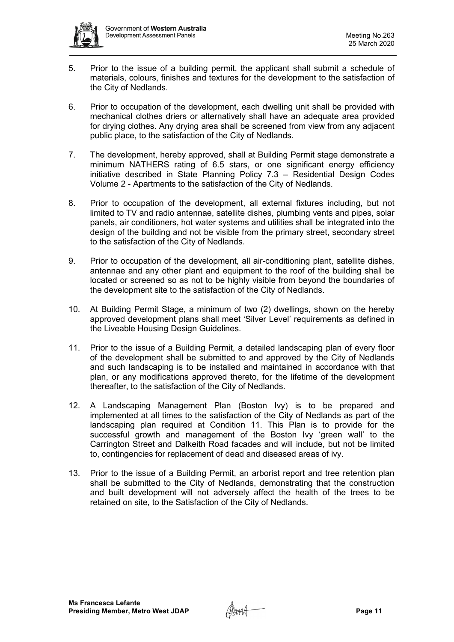

- 5. Prior to the issue of a building permit, the applicant shall submit a schedule of materials, colours, finishes and textures for the development to the satisfaction of the City of Nedlands.
- 6. Prior to occupation of the development, each dwelling unit shall be provided with mechanical clothes driers or alternatively shall have an adequate area provided for drying clothes. Any drying area shall be screened from view from any adjacent public place, to the satisfaction of the City of Nedlands.
- 7. The development, hereby approved, shall at Building Permit stage demonstrate a minimum NATHERS rating of 6.5 stars, or one significant energy efficiency initiative described in State Planning Policy 7.3 – Residential Design Codes Volume 2 - Apartments to the satisfaction of the City of Nedlands.
- 8. Prior to occupation of the development, all external fixtures including, but not limited to TV and radio antennae, satellite dishes, plumbing vents and pipes, solar panels, air conditioners, hot water systems and utilities shall be integrated into the design of the building and not be visible from the primary street, secondary street to the satisfaction of the City of Nedlands.
- 9. Prior to occupation of the development, all air-conditioning plant, satellite dishes, antennae and any other plant and equipment to the roof of the building shall be located or screened so as not to be highly visible from beyond the boundaries of the development site to the satisfaction of the City of Nedlands.
- 10. At Building Permit Stage, a minimum of two (2) dwellings, shown on the hereby approved development plans shall meet 'Silver Level' requirements as defined in the Liveable Housing Design Guidelines.
- 11. Prior to the issue of a Building Permit, a detailed landscaping plan of every floor of the development shall be submitted to and approved by the City of Nedlands and such landscaping is to be installed and maintained in accordance with that plan, or any modifications approved thereto, for the lifetime of the development thereafter, to the satisfaction of the City of Nedlands.
- 12. A Landscaping Management Plan (Boston Ivy) is to be prepared and implemented at all times to the satisfaction of the City of Nedlands as part of the landscaping plan required at Condition 11. This Plan is to provide for the successful growth and management of the Boston Ivy 'green wall' to the Carrington Street and Dalkeith Road facades and will include, but not be limited to, contingencies for replacement of dead and diseased areas of ivy.
- 13. Prior to the issue of a Building Permit, an arborist report and tree retention plan shall be submitted to the City of Nedlands, demonstrating that the construction and built development will not adversely affect the health of the trees to be retained on site, to the Satisfaction of the City of Nedlands.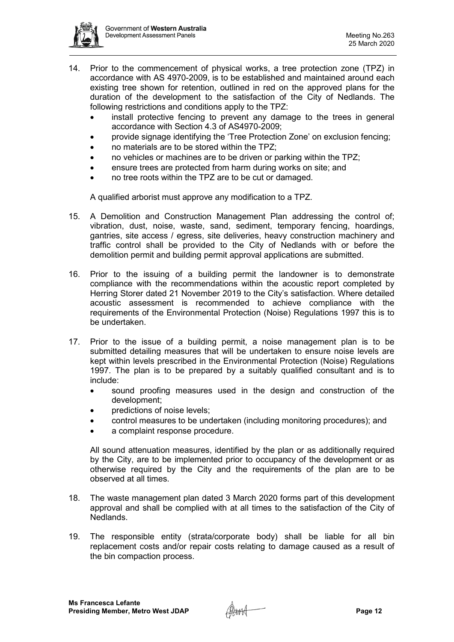

- 14. Prior to the commencement of physical works, a tree protection zone (TPZ) in accordance with AS 4970-2009, is to be established and maintained around each existing tree shown for retention, outlined in red on the approved plans for the duration of the development to the satisfaction of the City of Nedlands. The following restrictions and conditions apply to the TPZ:
	- install protective fencing to prevent any damage to the trees in general accordance with Section 4.3 of AS4970-2009;
	- provide signage identifying the 'Tree Protection Zone' on exclusion fencing;
	- no materials are to be stored within the TPZ;
	- no vehicles or machines are to be driven or parking within the TPZ;
	- ensure trees are protected from harm during works on site; and
	- no tree roots within the TPZ are to be cut or damaged.

A qualified arborist must approve any modification to a TPZ.

- 15. A Demolition and Construction Management Plan addressing the control of; vibration, dust, noise, waste, sand, sediment, temporary fencing, hoardings, gantries, site access / egress, site deliveries, heavy construction machinery and traffic control shall be provided to the City of Nedlands with or before the demolition permit and building permit approval applications are submitted.
- 16. Prior to the issuing of a building permit the landowner is to demonstrate compliance with the recommendations within the acoustic report completed by Herring Storer dated 21 November 2019 to the City's satisfaction. Where detailed acoustic assessment is recommended to achieve compliance with the requirements of the Environmental Protection (Noise) Regulations 1997 this is to be undertaken.
- 17. Prior to the issue of a building permit, a noise management plan is to be submitted detailing measures that will be undertaken to ensure noise levels are kept within levels prescribed in the Environmental Protection (Noise) Regulations 1997. The plan is to be prepared by a suitably qualified consultant and is to include:
	- sound proofing measures used in the design and construction of the development;
	- predictions of noise levels;
	- control measures to be undertaken (including monitoring procedures); and
	- a complaint response procedure.

All sound attenuation measures, identified by the plan or as additionally required by the City, are to be implemented prior to occupancy of the development or as otherwise required by the City and the requirements of the plan are to be observed at all times.

- 18. The waste management plan dated 3 March 2020 forms part of this development approval and shall be complied with at all times to the satisfaction of the City of Nedlands.
- 19. The responsible entity (strata/corporate body) shall be liable for all bin replacement costs and/or repair costs relating to damage caused as a result of the bin compaction process.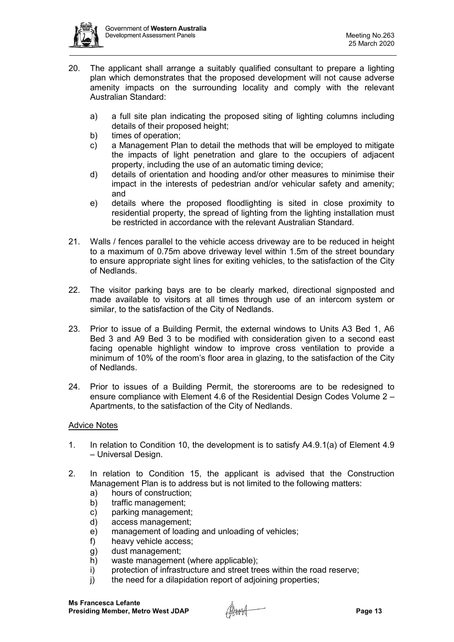

- 20. The applicant shall arrange a suitably qualified consultant to prepare a lighting plan which demonstrates that the proposed development will not cause adverse amenity impacts on the surrounding locality and comply with the relevant Australian Standard:
	- a) a full site plan indicating the proposed siting of lighting columns including details of their proposed height;
	- b) times of operation;
	- c) a Management Plan to detail the methods that will be employed to mitigate the impacts of light penetration and glare to the occupiers of adjacent property, including the use of an automatic timing device;
	- d) details of orientation and hooding and/or other measures to minimise their impact in the interests of pedestrian and/or vehicular safety and amenity; and
	- e) details where the proposed floodlighting is sited in close proximity to residential property, the spread of lighting from the lighting installation must be restricted in accordance with the relevant Australian Standard.
- 21. Walls / fences parallel to the vehicle access driveway are to be reduced in height to a maximum of 0.75m above driveway level within 1.5m of the street boundary to ensure appropriate sight lines for exiting vehicles, to the satisfaction of the City of Nedlands.
- 22. The visitor parking bays are to be clearly marked, directional signposted and made available to visitors at all times through use of an intercom system or similar, to the satisfaction of the City of Nedlands.
- 23. Prior to issue of a Building Permit, the external windows to Units A3 Bed 1, A6 Bed 3 and A9 Bed 3 to be modified with consideration given to a second east facing openable highlight window to improve cross ventilation to provide a minimum of 10% of the room's floor area in glazing, to the satisfaction of the City of Nedlands.
- 24. Prior to issues of a Building Permit, the storerooms are to be redesigned to ensure compliance with Element 4.6 of the Residential Design Codes Volume 2 – Apartments, to the satisfaction of the City of Nedlands.

# Advice Notes

- 1. In relation to Condition 10, the development is to satisfy A4.9.1(a) of Element 4.9 – Universal Design.
- 2. In relation to Condition 15, the applicant is advised that the Construction Management Plan is to address but is not limited to the following matters:
	- a) hours of construction;
	- b) traffic management;<br>c) parking managemen
	- parking management;
	- d) access management;
	- e) management of loading and unloading of vehicles;
	- f) heavy vehicle access;
	- g) dust management;
	- h) waste management (where applicable);
	- i) protection of infrastructure and street trees within the road reserve;
	- j) the need for a dilapidation report of adjoining properties;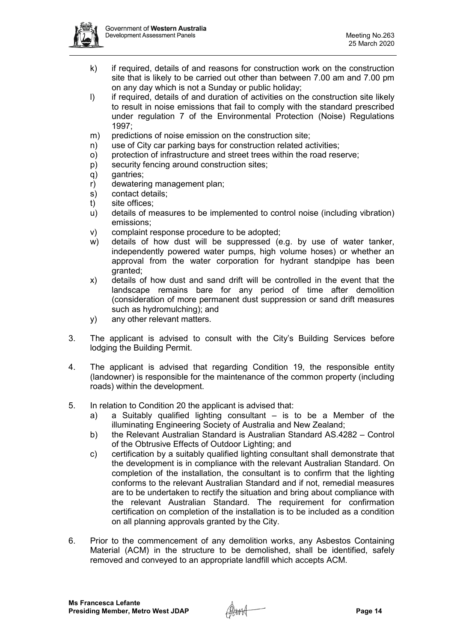

- k) if required, details of and reasons for construction work on the construction site that is likely to be carried out other than between 7.00 am and 7.00 pm on any day which is not a Sunday or public holiday;
- I) if required, details of and duration of activities on the construction site likely to result in noise emissions that fail to comply with the standard prescribed under regulation 7 of the Environmental Protection (Noise) Regulations 1997;
- m) predictions of noise emission on the construction site;
- n) use of City car parking bays for construction related activities;
- o) protection of infrastructure and street trees within the road reserve;
- p) security fencing around construction sites;
- q) gantries;
- r) dewatering management plan;
- s) contact details;
- t) site offices;
- u) details of measures to be implemented to control noise (including vibration) emissions;
- v) complaint response procedure to be adopted;
- w) details of how dust will be suppressed (e.g. by use of water tanker, independently powered water pumps, high volume hoses) or whether an approval from the water corporation for hydrant standpipe has been granted;
- x) details of how dust and sand drift will be controlled in the event that the landscape remains bare for any period of time after demolition (consideration of more permanent dust suppression or sand drift measures such as hydromulching); and
- y) any other relevant matters.
- 3. The applicant is advised to consult with the City's Building Services before lodging the Building Permit.
- 4. The applicant is advised that regarding Condition 19, the responsible entity (landowner) is responsible for the maintenance of the common property (including roads) within the development.
- 5. In relation to Condition 20 the applicant is advised that:
	- a) a Suitably qualified lighting consultant is to be a Member of the illuminating Engineering Society of Australia and New Zealand;
	- b) the Relevant Australian Standard is Australian Standard AS.4282 Control of the Obtrusive Effects of Outdoor Lighting; and
	- c) certification by a suitably qualified lighting consultant shall demonstrate that the development is in compliance with the relevant Australian Standard. On completion of the installation, the consultant is to confirm that the lighting conforms to the relevant Australian Standard and if not, remedial measures are to be undertaken to rectify the situation and bring about compliance with the relevant Australian Standard. The requirement for confirmation certification on completion of the installation is to be included as a condition on all planning approvals granted by the City.
- 6. Prior to the commencement of any demolition works, any Asbestos Containing Material (ACM) in the structure to be demolished, shall be identified, safely removed and conveyed to an appropriate landfill which accepts ACM.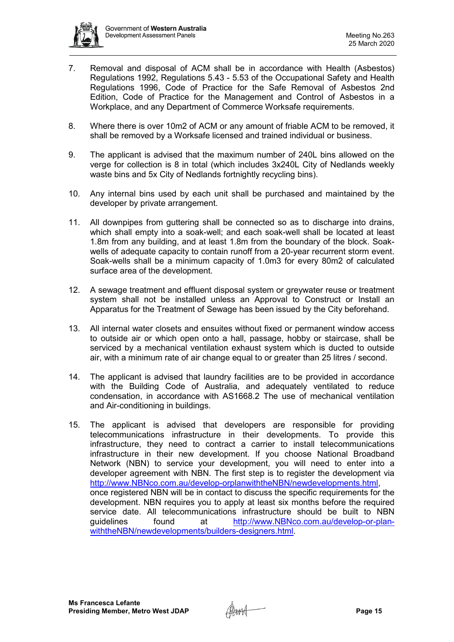

- 7. Removal and disposal of ACM shall be in accordance with Health (Asbestos) Regulations 1992, Regulations 5.43 - 5.53 of the Occupational Safety and Health Regulations 1996, Code of Practice for the Safe Removal of Asbestos 2nd Edition, Code of Practice for the Management and Control of Asbestos in a Workplace, and any Department of Commerce Worksafe requirements.
- 8. Where there is over 10m2 of ACM or any amount of friable ACM to be removed, it shall be removed by a Worksafe licensed and trained individual or business.
- 9. The applicant is advised that the maximum number of 240L bins allowed on the verge for collection is 8 in total (which includes 3x240L City of Nedlands weekly waste bins and 5x City of Nedlands fortnightly recycling bins).
- 10. Any internal bins used by each unit shall be purchased and maintained by the developer by private arrangement.
- 11. All downpipes from guttering shall be connected so as to discharge into drains, which shall empty into a soak-well; and each soak-well shall be located at least 1.8m from any building, and at least 1.8m from the boundary of the block. Soakwells of adequate capacity to contain runoff from a 20-year recurrent storm event. Soak-wells shall be a minimum capacity of 1.0m3 for every 80m2 of calculated surface area of the development.
- 12. A sewage treatment and effluent disposal system or greywater reuse or treatment system shall not be installed unless an Approval to Construct or Install an Apparatus for the Treatment of Sewage has been issued by the City beforehand.
- 13. All internal water closets and ensuites without fixed or permanent window access to outside air or which open onto a hall, passage, hobby or staircase, shall be serviced by a mechanical ventilation exhaust system which is ducted to outside air, with a minimum rate of air change equal to or greater than 25 litres / second.
- 14. The applicant is advised that laundry facilities are to be provided in accordance with the Building Code of Australia, and adequately ventilated to reduce condensation, in accordance with AS1668.2 The use of mechanical ventilation and Air-conditioning in buildings.
- 15. The applicant is advised that developers are responsible for providing telecommunications infrastructure in their developments. To provide this infrastructure, they need to contract a carrier to install telecommunications infrastructure in their new development. If you choose National Broadband Network (NBN) to service your development, you will need to enter into a developer agreement with NBN. The first step is to register the development via [http://www.NBNco.com.au/develop-orplanwiththeNBN/newdevelopments.html,](http://www.nbnco.com.au/develop-orplanwiththeNBN/newdevelopments.html) once registered NBN will be in contact to discuss the specific requirements for the development. NBN requires you to apply at least six months before the required service date. All telecommunications infrastructure should be built to NBN<br>quidelines found at http://www.NBNco.com.au/develop-or-planat [http://www.NBNco.com.au/develop-or-plan](http://www.nbnco.com.au/develop-or-plan-withtheNBN/newdevelopments/builders-designers.html)[withtheNBN/newdevelopments/builders-designers.html.](http://www.nbnco.com.au/develop-or-plan-withtheNBN/newdevelopments/builders-designers.html)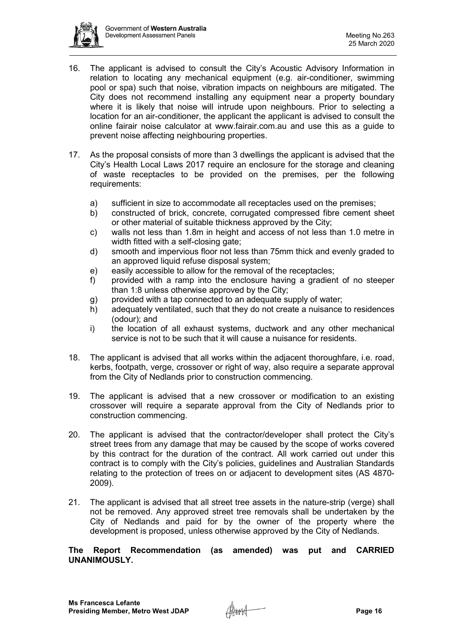

- 16. The applicant is advised to consult the City's Acoustic Advisory Information in relation to locating any mechanical equipment (e.g. air-conditioner, swimming pool or spa) such that noise, vibration impacts on neighbours are mitigated. The City does not recommend installing any equipment near a property boundary where it is likely that noise will intrude upon neighbours. Prior to selecting a location for an air-conditioner, the applicant the applicant is advised to consult the online fairair noise calculator at [www.fairair.com.au](http://www.fairair.com.au/) and use this as a guide to prevent noise affecting neighbouring properties.
- 17. As the proposal consists of more than 3 dwellings the applicant is advised that the City's Health Local Laws 2017 require an enclosure for the storage and cleaning of waste receptacles to be provided on the premises, per the following requirements:
	- a) sufficient in size to accommodate all receptacles used on the premises;
	- b) constructed of brick, concrete, corrugated compressed fibre cement sheet or other material of suitable thickness approved by the City;
	- c) walls not less than 1.8m in height and access of not less than 1.0 metre in width fitted with a self-closing gate;
	- d) smooth and impervious floor not less than 75mm thick and evenly graded to an approved liquid refuse disposal system;
	- e) easily accessible to allow for the removal of the receptacles;
	- f) provided with a ramp into the enclosure having a gradient of no steeper than 1:8 unless otherwise approved by the City;
	- g) provided with a tap connected to an adequate supply of water;
	- h) adequately ventilated, such that they do not create a nuisance to residences (odour); and
	- i) the location of all exhaust systems, ductwork and any other mechanical service is not to be such that it will cause a nuisance for residents.
- 18. The applicant is advised that all works within the adjacent thoroughfare, i.e. road, kerbs, footpath, verge, crossover or right of way, also require a separate approval from the City of Nedlands prior to construction commencing.
- 19. The applicant is advised that a new crossover or modification to an existing crossover will require a separate approval from the City of Nedlands prior to construction commencing.
- 20. The applicant is advised that the contractor/developer shall protect the City's street trees from any damage that may be caused by the scope of works covered by this contract for the duration of the contract. All work carried out under this contract is to comply with the City's policies, guidelines and Australian Standards relating to the protection of trees on or adjacent to development sites (AS 4870- 2009).
- 21. The applicant is advised that all street tree assets in the nature-strip (verge) shall not be removed. Any approved street tree removals shall be undertaken by the City of Nedlands and paid for by the owner of the property where the development is proposed, unless otherwise approved by the City of Nedlands.

#### **The Report Recommendation (as amended) was put and CARRIED UNANIMOUSLY.**